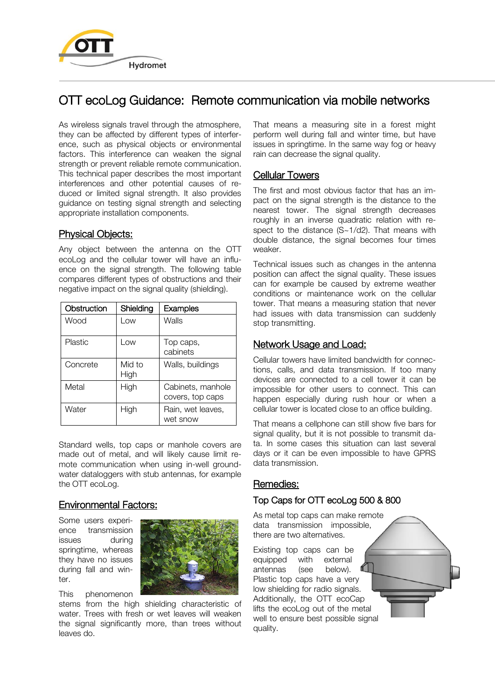

# OTT ecoLog Guidance: Remote communication via mobile networks

As wireless signals travel through the atmosphere, they can be affected by different types of interference, such as physical objects or environmental factors. This interference can weaken the signal strength or prevent reliable remote communication. This technical paper describes the most important interferences and other potential causes of reduced or limited signal strength. It also provides guidance on testing signal strength and selecting appropriate installation components.

### Physical Objects:

Any object between the antenna on the OTT ecoLog and the cellular tower will have an influence on the signal strength. The following table compares different types of obstructions and their negative impact on the signal quality (shielding).

| Obstruction | Shielding      | <b>Examples</b>                       |
|-------------|----------------|---------------------------------------|
| Wood        | Low            | Walls                                 |
| Plastic     | l ow           | Top caps,<br>cabinets                 |
| Concrete    | Mid to<br>High | Walls, buildings                      |
| Metal       | High           | Cabinets, manhole<br>covers, top caps |
| Water       | High           | Rain, wet leaves,<br>wet snow         |

Standard wells, top caps or manhole covers are made out of metal, and will likely cause limit remote communication when using in-well groundwater dataloggers with stub antennas, for example the OTT ecoLog.

### Environmental Factors:

Some users experience transmission issues during springtime, whereas they have no issues during fall and winter.



This phenomenon

stems from the high shielding characteristic of water. Trees with fresh or wet leaves will weaken the signal significantly more, than trees without leaves do.

That means a measuring site in a forest might perform well during fall and winter time, but have issues in springtime. In the same way fog or heavy rain can decrease the signal quality.

## Cellular Towers

The first and most obvious factor that has an impact on the signal strength is the distance to the nearest tower. The signal strength decreases roughly in an inverse quadratic relation with respect to the distance (S~1/d2). That means with double distance, the signal becomes four times weaker.

Technical issues such as changes in the antenna position can affect the signal quality. These issues can for example be caused by extreme weather conditions or maintenance work on the cellular tower. That means a measuring station that never had issues with data transmission can suddenly stop transmitting.

### Network Usage and Load:

Cellular towers have limited bandwidth for connections, calls, and data transmission. If too many devices are connected to a cell tower it can be impossible for other users to connect. This can happen especially during rush hour or when a cellular tower is located close to an office building.

That means a cellphone can still show five bars for signal quality, but it is not possible to transmit data. In some cases this situation can last several days or it can be even impossible to have GPRS data transmission.

### Remedies:

# Top Caps for OTT ecoLog 500 & 800

As metal top caps can make remote data transmission impossible, there are two alternatives.

Existing top caps can be equipped with external antennas (see below). Plastic top caps have a very low shielding for radio signals. Additionally, the OTT ecoCap lifts the ecoLog out of the metal well to ensure best possible signal quality.